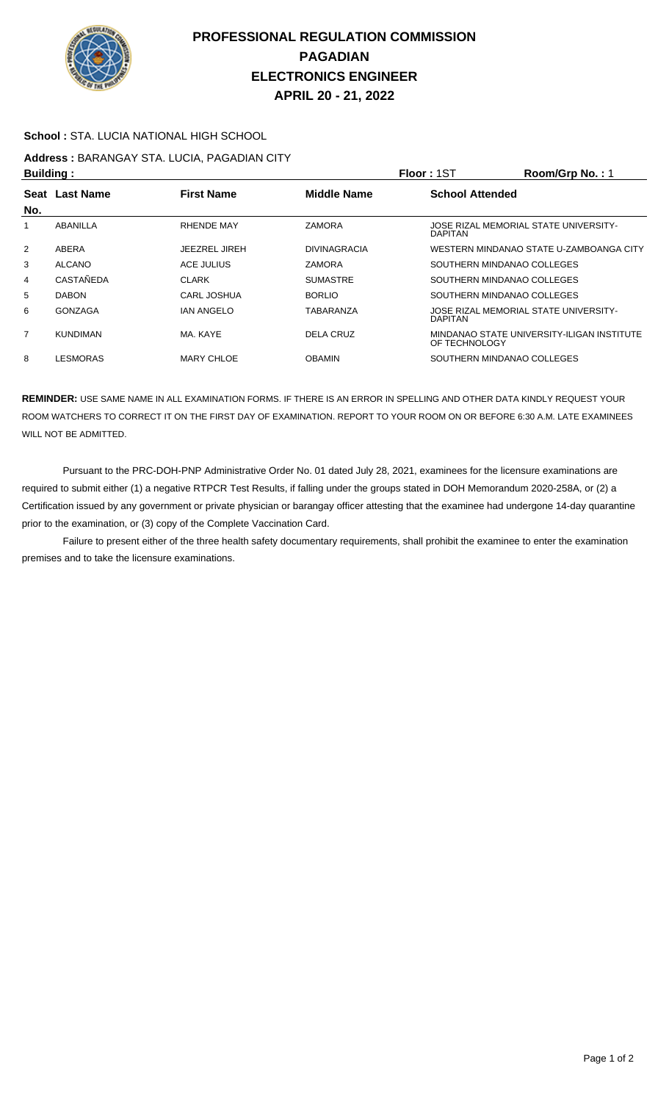

## **PROFESSIONAL REGULATION COMMISSION PAGADIAN ELECTRONICS ENGINEER APRIL 20 - 21, 2022**

#### **School :** STA. LUCIA NATIONAL HIGH SCHOOL

# **Address :** BARANGAY STA. LUCIA, PAGADIAN CITY

| <b>Building:</b> |                                     |                    |                     | <b>Floor: 1ST</b>                                       | Room/Grp No.: 1                            |  |
|------------------|-------------------------------------|--------------------|---------------------|---------------------------------------------------------|--------------------------------------------|--|
|                  | Seat Last Name<br><b>First Name</b> |                    | <b>Middle Name</b>  | <b>School Attended</b>                                  |                                            |  |
| No.              |                                     |                    |                     |                                                         |                                            |  |
| 1                | ABANILLA                            | <b>RHENDE MAY</b>  | <b>ZAMORA</b>       | JOSE RIZAL MEMORIAL STATE UNIVERSITY-<br><b>DAPITAN</b> |                                            |  |
| 2                | ABERA                               | JEEZREL JIREH      | <b>DIVINAGRACIA</b> |                                                         | WESTERN MINDANAO STATE U-ZAMBOANGA CITY    |  |
| 3                | ALCANO                              | ACE JULIUS         | <b>ZAMORA</b>       | SOUTHERN MINDANAO COLLEGES                              |                                            |  |
| 4                | CASTAÑEDA                           | <b>CLARK</b>       | <b>SUMASTRE</b>     | SOUTHERN MINDANAO COLLEGES                              |                                            |  |
| 5                | <b>DABON</b>                        | <b>CARL JOSHUA</b> | <b>BORLIO</b>       | SOUTHERN MINDANAO COLLEGES                              |                                            |  |
| 6                | GONZAGA                             | <b>IAN ANGELO</b>  | TABARANZA           | JOSE RIZAL MEMORIAL STATE UNIVERSITY-<br><b>DAPITAN</b> |                                            |  |
| $\overline{7}$   | <b>KUNDIMAN</b>                     | MA, KAYE           | DELA CRUZ           | OF TECHNOLOGY                                           | MINDANAO STATE UNIVERSITY-ILIGAN INSTITUTE |  |
| 8                | LESMORAS                            | <b>MARY CHLOE</b>  | <b>OBAMIN</b>       | SOUTHERN MINDANAO COLLEGES                              |                                            |  |

**REMINDER:** USE SAME NAME IN ALL EXAMINATION FORMS. IF THERE IS AN ERROR IN SPELLING AND OTHER DATA KINDLY REQUEST YOUR ROOM WATCHERS TO CORRECT IT ON THE FIRST DAY OF EXAMINATION. REPORT TO YOUR ROOM ON OR BEFORE 6:30 A.M. LATE EXAMINEES WILL NOT BE ADMITTED.

 Pursuant to the PRC-DOH-PNP Administrative Order No. 01 dated July 28, 2021, examinees for the licensure examinations are required to submit either (1) a negative RTPCR Test Results, if falling under the groups stated in DOH Memorandum 2020-258A, or (2) a Certification issued by any government or private physician or barangay officer attesting that the examinee had undergone 14-day quarantine prior to the examination, or (3) copy of the Complete Vaccination Card.

 Failure to present either of the three health safety documentary requirements, shall prohibit the examinee to enter the examination premises and to take the licensure examinations.